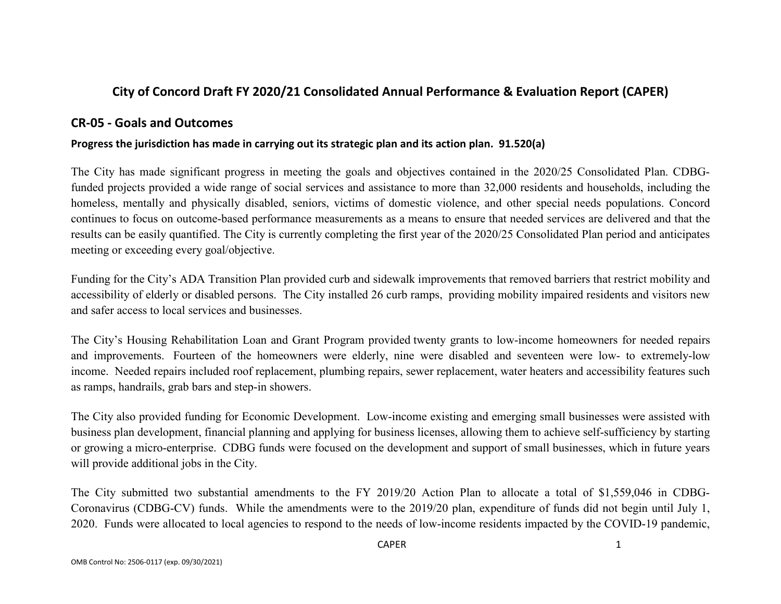# **City of Concord Draft FY 2020/21 Consolidated Annual Performance & Evaluation Report (CAPER)**

## **CR-05 - Goals and Outcomes**

#### **Progress the jurisdiction has made in carrying out its strategic plan and its action plan. 91.520(a)**

The City has made significant progress in meeting the goals and objectives contained in the 2020/25 Consolidated Plan. CDBGfunded projects provided a wide range of social services and assistance to more than 32,000 residents and households, including the homeless, mentally and physically disabled, seniors, victims of domestic violence, and other special needs populations. Concord continues to focus on outcome-based performance measurements as a means to ensure that needed services are delivered and that the results can be easily quantified. The City is currently completing the first year of the 2020/25 Consolidated Plan period and anticipates meeting or exceeding every goal/objective.

Funding for the City's ADA Transition Plan provided curb and sidewalk improvements that removed barriers that restrict mobility and accessibility of elderly or disabled persons. The City installed 26 curb ramps, providing mobility impaired residents and visitors new and safer access to local services and businesses.

The City's Housing Rehabilitation Loan and Grant Program provided twenty grants to low-income homeowners for needed repairs and improvements. Fourteen of the homeowners were elderly, nine were disabled and seventeen were low- to extremely-low income. Needed repairs included roof replacement, plumbing repairs, sewer replacement, water heaters and accessibility features such as ramps, handrails, grab bars and step-in showers.

The City also provided funding for Economic Development. Low-income existing and emerging small businesses were assisted with business plan development, financial planning and applying for business licenses, allowing them to achieve self-sufficiency by starting or growing a micro-enterprise. CDBG funds were focused on the development and support of small businesses, which in future years will provide additional jobs in the City.

The City submitted two substantial amendments to the FY 2019/20 Action Plan to allocate a total of \$1,559,046 in CDBG-Coronavirus (CDBG-CV) funds. While the amendments were to the 2019/20 plan, expenditure of funds did not begin until July 1, 2020. Funds were allocated to local agencies to respond to the needs of low-income residents impacted by the COVID-19 pandemic,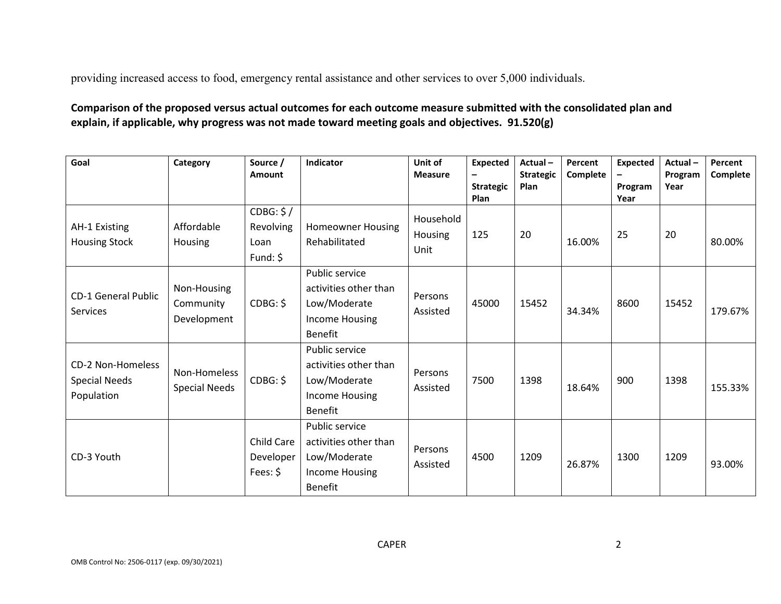providing increased access to food, emergency rental assistance and other services to over 5,000 individuals.

## **Comparison of the proposed versus actual outcomes for each outcome measure submitted with the consolidated plan and explain, if applicable, why progress was not made toward meeting goals and objectives. 91.520(g)**

| Goal                                                           | Category                                | Source /<br><b>Amount</b>                   | Indicator                                                                                   | Unit of<br><b>Measure</b>    | <b>Expected</b><br><b>Strategic</b> | Actual-<br><b>Strategic</b><br>Plan | Percent<br>Complete | <b>Expected</b><br>Program | $Actual -$<br>Program<br>Year | Percent<br>Complete |
|----------------------------------------------------------------|-----------------------------------------|---------------------------------------------|---------------------------------------------------------------------------------------------|------------------------------|-------------------------------------|-------------------------------------|---------------------|----------------------------|-------------------------------|---------------------|
| AH-1 Existing<br><b>Housing Stock</b>                          | Affordable<br>Housing                   | CDBG: \$/<br>Revolving<br>Loan<br>Fund: $$$ | <b>Homeowner Housing</b><br>Rehabilitated                                                   | Household<br>Housing<br>Unit | Plan<br>125                         | 20                                  | 16.00%              | Year<br>25                 | 20                            | 80.00%              |
| <b>CD-1 General Public</b><br>Services                         | Non-Housing<br>Community<br>Development | CDBG: \$                                    | <b>Public service</b><br>activities other than<br>Low/Moderate<br>Income Housing<br>Benefit | Persons<br>Assisted          | 45000                               | 15452                               | 34.34%              | 8600                       | 15452                         | 179.67%             |
| <b>CD-2 Non-Homeless</b><br><b>Special Needs</b><br>Population | Non-Homeless<br><b>Special Needs</b>    | CDBG: \$                                    | Public service<br>activities other than<br>Low/Moderate<br>Income Housing<br>Benefit        | Persons<br>Assisted          | 7500                                | 1398                                | 18.64%              | 900                        | 1398                          | 155.33%             |
| CD-3 Youth                                                     |                                         | Child Care<br>Developer<br>Fees: $$$        | Public service<br>activities other than<br>Low/Moderate<br>Income Housing<br><b>Benefit</b> | Persons<br>Assisted          | 4500                                | 1209                                | 26.87%              | 1300                       | 1209                          | 93.00%              |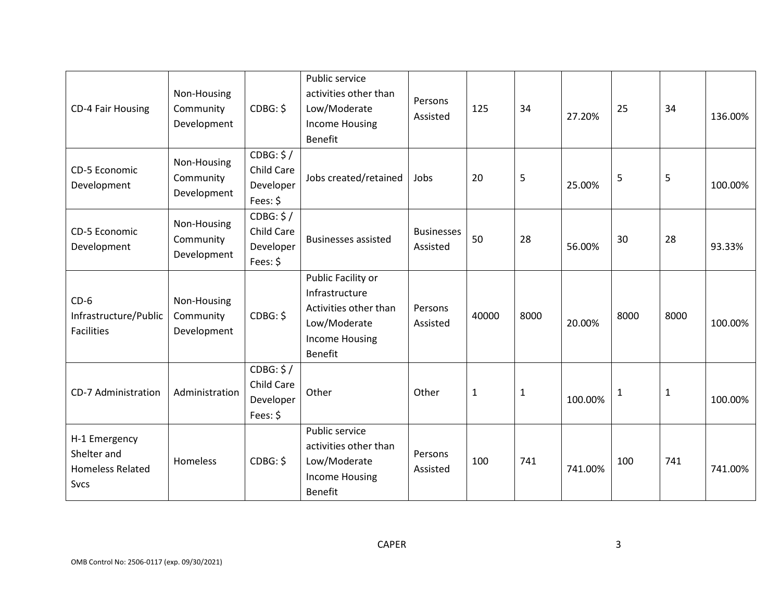| <b>CD-4 Fair Housing</b>                                               | Non-Housing<br>Community<br>Development | CDBG: \$                                                | Public service<br>activities other than<br>Low/Moderate<br><b>Income Housing</b><br><b>Benefit</b>                       | Persons<br>Assisted           | 125          | 34           | 27.20%  | 25   | 34           | 136.00% |
|------------------------------------------------------------------------|-----------------------------------------|---------------------------------------------------------|--------------------------------------------------------------------------------------------------------------------------|-------------------------------|--------------|--------------|---------|------|--------------|---------|
| CD-5 Economic<br>Development                                           | Non-Housing<br>Community<br>Development | CDBG: \$/<br>Child Care<br>Developer<br>Fees: \$        | Jobs created/retained                                                                                                    | Jobs                          | 20           | 5            | 25.00%  | 5    | 5            | 100.00% |
| CD-5 Economic<br>Development                                           | Non-Housing<br>Community<br>Development | CDBG: \$/<br>Child Care<br>Developer<br>Fees: \$        | <b>Businesses assisted</b>                                                                                               | <b>Businesses</b><br>Assisted | 50           | 28           | 56.00%  | 30   | 28           | 93.33%  |
| $CD-6$<br>Infrastructure/Public<br><b>Facilities</b>                   | Non-Housing<br>Community<br>Development | CDBG: \$                                                | Public Facility or<br>Infrastructure<br>Activities other than<br>Low/Moderate<br><b>Income Housing</b><br><b>Benefit</b> | Persons<br>Assisted           | 40000        | 8000         | 20.00%  | 8000 | 8000         | 100.00% |
| <b>CD-7 Administration</b>                                             | Administration                          | CDBG: \$/<br><b>Child Care</b><br>Developer<br>Fees: \$ | Other                                                                                                                    | Other                         | $\mathbf{1}$ | $\mathbf{1}$ | 100.00% | 1    | $\mathbf{1}$ | 100.00% |
| H-1 Emergency<br>Shelter and<br><b>Homeless Related</b><br><b>Svcs</b> | Homeless                                | CDBG: \$                                                | Public service<br>activities other than<br>Low/Moderate<br><b>Income Housing</b><br><b>Benefit</b>                       | Persons<br>Assisted           | 100          | 741          | 741.00% | 100  | 741          | 741.00% |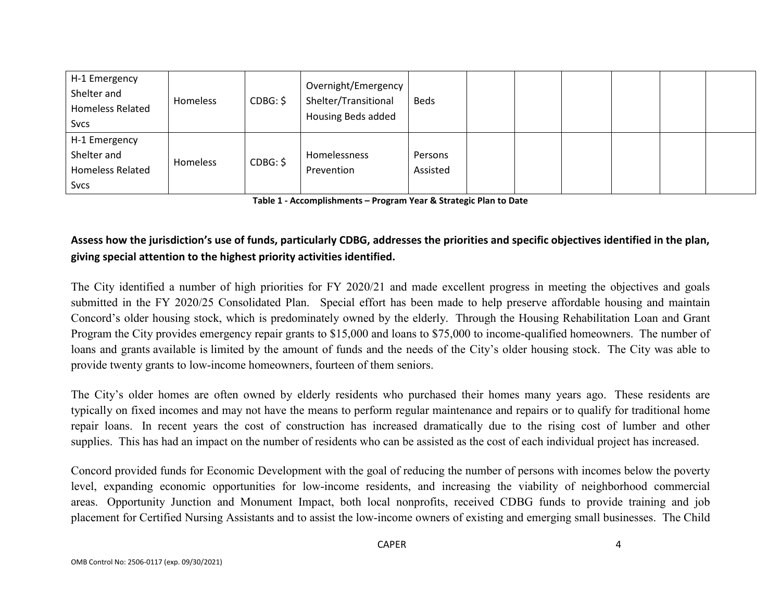| H-1 Emergency<br>Shelter and<br><b>Homeless Related</b><br><b>Svcs</b> | Homeless | CDBG: \$ | Overnight/Emergency  <br>Shelter/Transitional<br>Housing Beds added | <b>Beds</b>         |  |  |  |
|------------------------------------------------------------------------|----------|----------|---------------------------------------------------------------------|---------------------|--|--|--|
| H-1 Emergency<br>Shelter and<br><b>Homeless Related</b>                | Homeless | CDBG: \$ | <b>Homelessness</b><br>Prevention                                   | Persons<br>Assisted |  |  |  |
| <b>Svcs</b>                                                            |          |          |                                                                     |                     |  |  |  |

**Table 1 - Accomplishments – Program Year & Strategic Plan to Date**

# **Assess how the jurisdiction's use of funds, particularly CDBG, addresses the priorities and specific objectives identified in the plan, giving special attention to the highest priority activities identified.**

The City identified a number of high priorities for FY 2020/21 and made excellent progress in meeting the objectives and goals submitted in the FY 2020/25 Consolidated Plan. Special effort has been made to help preserve affordable housing and maintain Concord's older housing stock, which is predominately owned by the elderly. Through the Housing Rehabilitation Loan and Grant Program the City provides emergency repair grants to \$15,000 and loans to \$75,000 to income-qualified homeowners. The number of loans and grants available is limited by the amount of funds and the needs of the City's older housing stock. The City was able to provide twenty grants to low-income homeowners, fourteen of them seniors.

The City's older homes are often owned by elderly residents who purchased their homes many years ago. These residents are typically on fixed incomes and may not have the means to perform regular maintenance and repairs or to qualify for traditional home repair loans. In recent years the cost of construction has increased dramatically due to the rising cost of lumber and other supplies. This has had an impact on the number of residents who can be assisted as the cost of each individual project has increased.

Concord provided funds for Economic Development with the goal of reducing the number of persons with incomes below the poverty level, expanding economic opportunities for low-income residents, and increasing the viability of neighborhood commercial areas. Opportunity Junction and Monument Impact, both local nonprofits, received CDBG funds to provide training and job placement for Certified Nursing Assistants and to assist the low-income owners of existing and emerging small businesses. The Child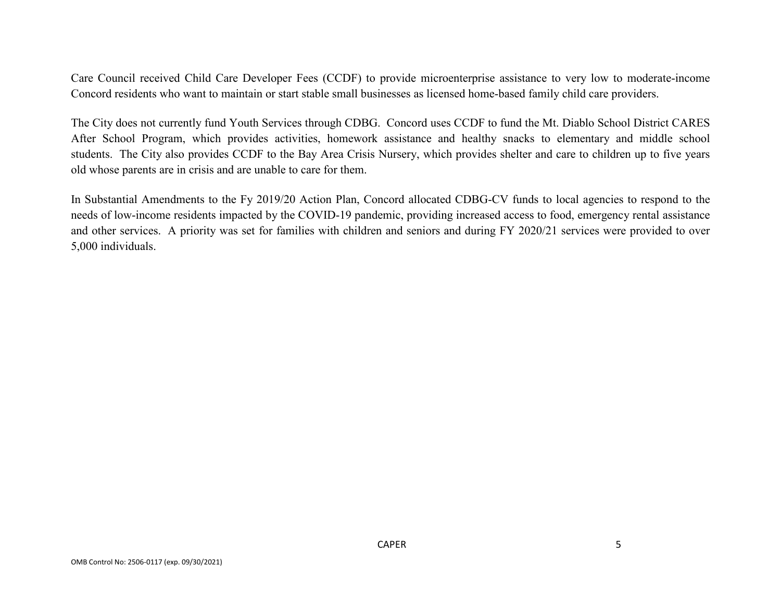Care Council received Child Care Developer Fees (CCDF) to provide microenterprise assistance to very low to moderate-income Concord residents who want to maintain or start stable small businesses as licensed home-based family child care providers.

The City does not currently fund Youth Services through CDBG. Concord uses CCDF to fund the Mt. Diablo School District CARES After School Program, which provides activities, homework assistance and healthy snacks to elementary and middle school students. The City also provides CCDF to the Bay Area Crisis Nursery, which provides shelter and care to children up to five years old whose parents are in crisis and are unable to care for them.

In Substantial Amendments to the Fy 2019/20 Action Plan, Concord allocated CDBG-CV funds to local agencies to respond to the needs of low-income residents impacted by the COVID-19 pandemic, providing increased access to food, emergency rental assistance and other services. A priority was set for families with children and seniors and during FY 2020/21 services were provided to over 5,000 individuals.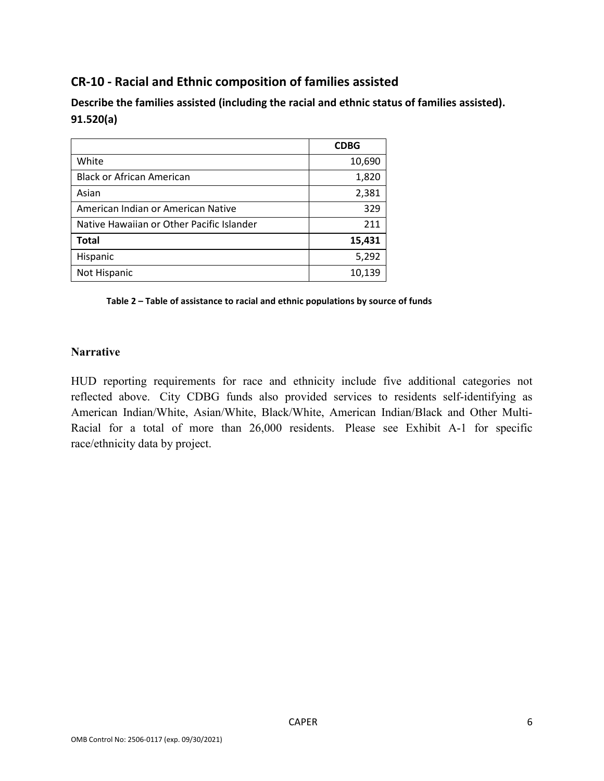# **CR-10 - Racial and Ethnic composition of families assisted**

**Describe the families assisted (including the racial and ethnic status of families assisted). 91.520(a)** 

|                                           | <b>CDBG</b> |
|-------------------------------------------|-------------|
| White                                     | 10,690      |
| <b>Black or African American</b>          | 1,820       |
| Asian                                     | 2,381       |
| American Indian or American Native        | 329         |
| Native Hawaiian or Other Pacific Islander | 211         |
| <b>Total</b>                              | 15,431      |
| Hispanic                                  | 5,292       |
| Not Hispanic                              | 10,139      |

**Table 2 – Table of assistance to racial and ethnic populations by source of funds**

#### **Narrative**

HUD reporting requirements for race and ethnicity include five additional categories not reflected above. City CDBG funds also provided services to residents self-identifying as American Indian/White, Asian/White, Black/White, American Indian/Black and Other Multi-Racial for a total of more than 26,000 residents. Please see Exhibit A-1 for specific race/ethnicity data by project.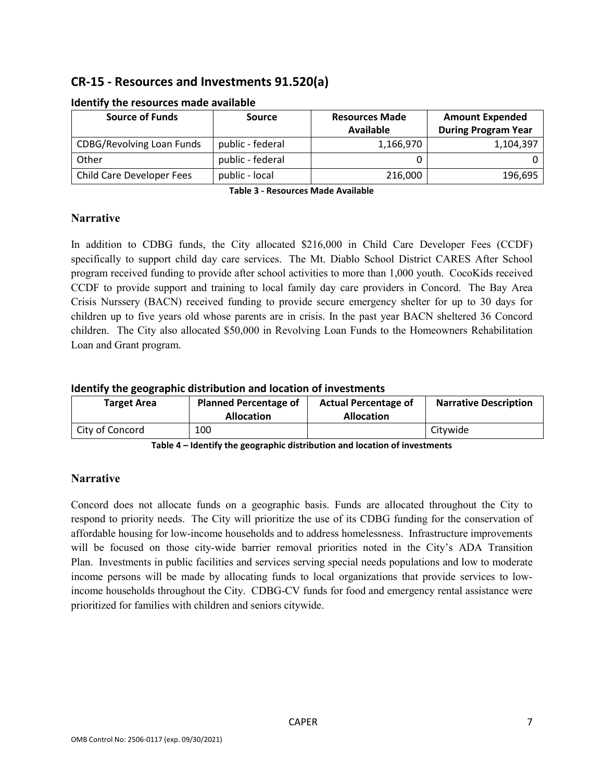# **CR-15 - Resources and Investments 91.520(a)**

| <b>Source of Funds</b>           | Source           | <b>Resources Made</b> | <b>Amount Expended</b>     |  |  |  |
|----------------------------------|------------------|-----------------------|----------------------------|--|--|--|
|                                  |                  | Available             | <b>During Program Year</b> |  |  |  |
| <b>CDBG/Revolving Loan Funds</b> | public - federal | 1,166,970             | 1,104,397                  |  |  |  |
| Other                            | public - federal |                       |                            |  |  |  |
| Child Care Developer Fees        | public - local   | 216,000               | 196,695                    |  |  |  |

#### **Identify the resources made available**

**Table 3 - Resources Made Available**

### **Narrative**

In addition to CDBG funds, the City allocated \$216,000 in Child Care Developer Fees (CCDF) specifically to support child day care services. The Mt. Diablo School District CARES After School program received funding to provide after school activities to more than 1,000 youth. CocoKids received CCDF to provide support and training to local family day care providers in Concord. The Bay Area Crisis Nurssery (BACN) received funding to provide secure emergency shelter for up to 30 days for children up to five years old whose parents are in crisis. In the past year BACN sheltered 36 Concord children. The City also allocated \$50,000 in Revolving Loan Funds to the Homeowners Rehabilitation Loan and Grant program.

#### **Identify the geographic distribution and location of investments**

| <b>Target Area</b> | <b>Planned Percentage of</b><br><b>Allocation</b> | <b>Actual Percentage of</b><br><b>Allocation</b> | <b>Narrative Description</b> |
|--------------------|---------------------------------------------------|--------------------------------------------------|------------------------------|
| City of Concord    | 100                                               |                                                  | Citywide                     |

**Table 4 – Identify the geographic distribution and location of investments**

### **Narrative**

Concord does not allocate funds on a geographic basis. Funds are allocated throughout the City to respond to priority needs. The City will prioritize the use of its CDBG funding for the conservation of affordable housing for low-income households and to address homelessness. Infrastructure improvements will be focused on those city-wide barrier removal priorities noted in the City's ADA Transition Plan. Investments in public facilities and services serving special needs populations and low to moderate income persons will be made by allocating funds to local organizations that provide services to lowincome households throughout the City. CDBG-CV funds for food and emergency rental assistance were prioritized for families with children and seniors citywide.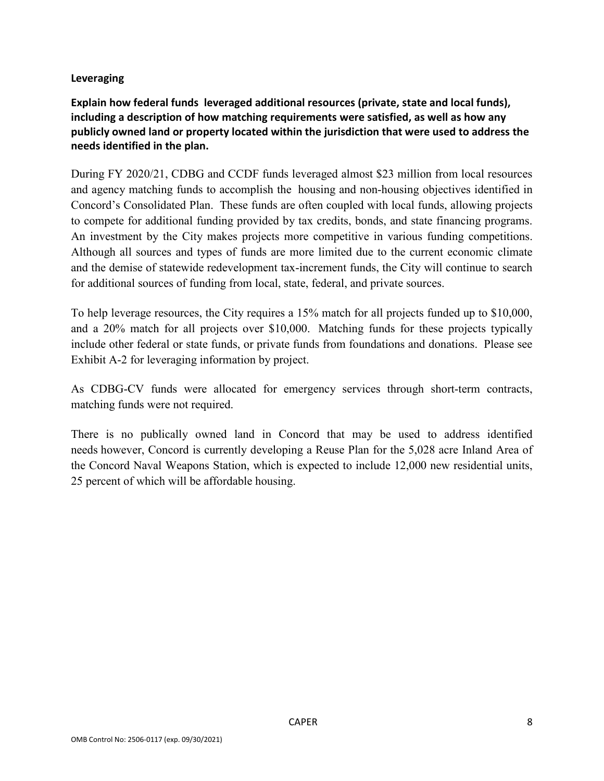#### **Leveraging**

**Explain how federal funds leveraged additional resources (private, state and local funds), including a description of how matching requirements were satisfied, as well as how any publicly owned land or property located within the jurisdiction that were used to address the needs identified in the plan.**

During FY 2020/21, CDBG and CCDF funds leveraged almost \$23 million from local resources and agency matching funds to accomplish the housing and non-housing objectives identified in Concord's Consolidated Plan. These funds are often coupled with local funds, allowing projects to compete for additional funding provided by tax credits, bonds, and state financing programs. An investment by the City makes projects more competitive in various funding competitions. Although all sources and types of funds are more limited due to the current economic climate and the demise of statewide redevelopment tax-increment funds, the City will continue to search for additional sources of funding from local, state, federal, and private sources.

To help leverage resources, the City requires a 15% match for all projects funded up to \$10,000, and a 20% match for all projects over \$10,000. Matching funds for these projects typically include other federal or state funds, or private funds from foundations and donations. Please see Exhibit A-2 for leveraging information by project.

As CDBG-CV funds were allocated for emergency services through short-term contracts, matching funds were not required.

There is no publically owned land in Concord that may be used to address identified needs however, Concord is currently developing a Reuse Plan for the 5,028 acre Inland Area of the Concord Naval Weapons Station, which is expected to include 12,000 new residential units, 25 percent of which will be affordable housing.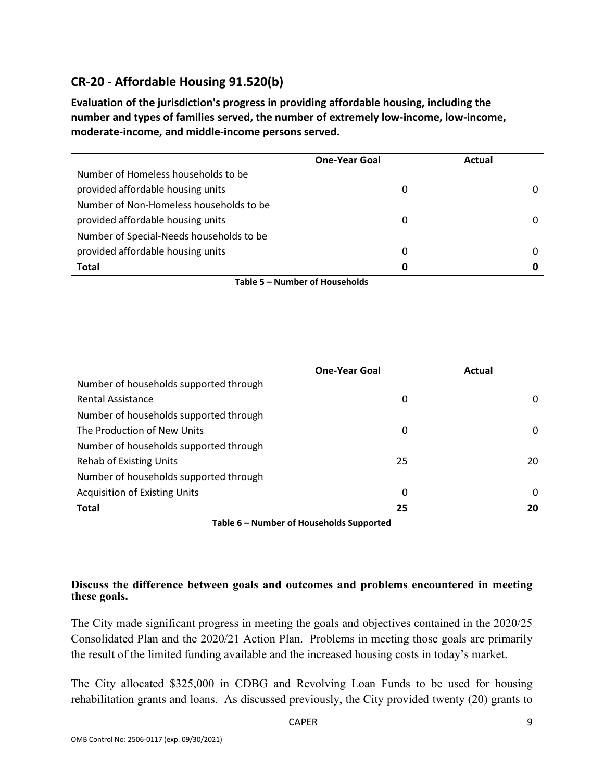# **CR-20 - Affordable Housing 91.520(b)**

**Evaluation of the jurisdiction's progress in providing affordable housing, including the number and types of families served, the number of extremely low-income, low-income, moderate-income, and middle-income persons served.**

|                                          | <b>One-Year Goal</b> | Actual |
|------------------------------------------|----------------------|--------|
| Number of Homeless households to be      |                      |        |
| provided affordable housing units        |                      |        |
| Number of Non-Homeless households to be  |                      |        |
| provided affordable housing units        | 0                    |        |
| Number of Special-Needs households to be |                      |        |
| provided affordable housing units        |                      |        |
| <b>Total</b>                             | 0                    |        |

**Table 5 – Number of Households**

|                                        | <b>One-Year Goal</b> | Actual |
|----------------------------------------|----------------------|--------|
| Number of households supported through |                      |        |
| <b>Rental Assistance</b>               | 0                    |        |
| Number of households supported through |                      |        |
| The Production of New Units            | 0                    |        |
| Number of households supported through |                      |        |
| <b>Rehab of Existing Units</b>         | 25                   | 20     |
| Number of households supported through |                      |        |
| <b>Acquisition of Existing Units</b>   | 0                    |        |
| <b>Total</b>                           | 25                   | 20     |

**Table 6 – Number of Households Supported**

#### **Discuss the difference between goals and outcomes and problems encountered in meeting these goals.**

The City made significant progress in meeting the goals and objectives contained in the 2020/25 Consolidated Plan and the 2020/21 Action Plan. Problems in meeting those goals are primarily the result of the limited funding available and the increased housing costs in today's market.

The City allocated \$325,000 in CDBG and Revolving Loan Funds to be used for housing rehabilitation grants and loans. As discussed previously, the City provided twenty (20) grants to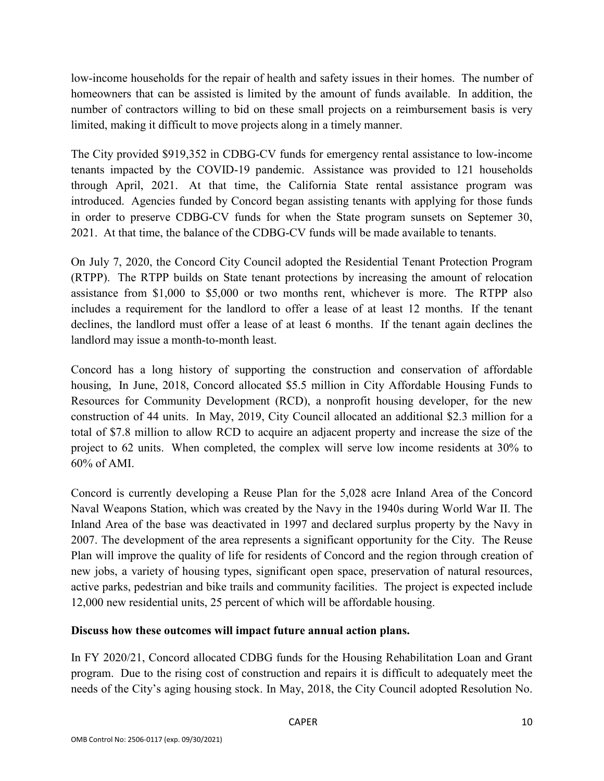low-income households for the repair of health and safety issues in their homes. The number of homeowners that can be assisted is limited by the amount of funds available. In addition, the number of contractors willing to bid on these small projects on a reimbursement basis is very limited, making it difficult to move projects along in a timely manner.

The City provided \$919,352 in CDBG-CV funds for emergency rental assistance to low-income tenants impacted by the COVID-19 pandemic. Assistance was provided to 121 households through April, 2021. At that time, the California State rental assistance program was introduced. Agencies funded by Concord began assisting tenants with applying for those funds in order to preserve CDBG-CV funds for when the State program sunsets on Septemer 30, 2021. At that time, the balance of the CDBG-CV funds will be made available to tenants.

On July 7, 2020, the Concord City Council adopted the Residential Tenant Protection Program (RTPP). The RTPP builds on State tenant protections by increasing the amount of relocation assistance from \$1,000 to \$5,000 or two months rent, whichever is more. The RTPP also includes a requirement for the landlord to offer a lease of at least 12 months. If the tenant declines, the landlord must offer a lease of at least 6 months. If the tenant again declines the landlord may issue a month-to-month least.

Concord has a long history of supporting the construction and conservation of affordable housing, In June, 2018, Concord allocated \$5.5 million in City Affordable Housing Funds to Resources for Community Development (RCD), a nonprofit housing developer, for the new construction of 44 units. In May, 2019, City Council allocated an additional \$2.3 million for a total of \$7.8 million to allow RCD to acquire an adjacent property and increase the size of the project to 62 units. When completed, the complex will serve low income residents at 30% to 60% of AMI.

Concord is currently developing a Reuse Plan for the 5,028 acre Inland Area of the Concord Naval Weapons Station, which was created by the Navy in the 1940s during World War II. The Inland Area of the base was deactivated in 1997 and declared surplus property by the Navy in 2007. The development of the area represents a significant opportunity for the City. The Reuse Plan will improve the quality of life for residents of Concord and the region through creation of new jobs, a variety of housing types, significant open space, preservation of natural resources, active parks, pedestrian and bike trails and community facilities. The project is expected include 12,000 new residential units, 25 percent of which will be affordable housing.

### **Discuss how these outcomes will impact future annual action plans.**

In FY 2020/21, Concord allocated CDBG funds for the Housing Rehabilitation Loan and Grant program. Due to the rising cost of construction and repairs it is difficult to adequately meet the needs of the City's aging housing stock. In May, 2018, the City Council adopted Resolution No.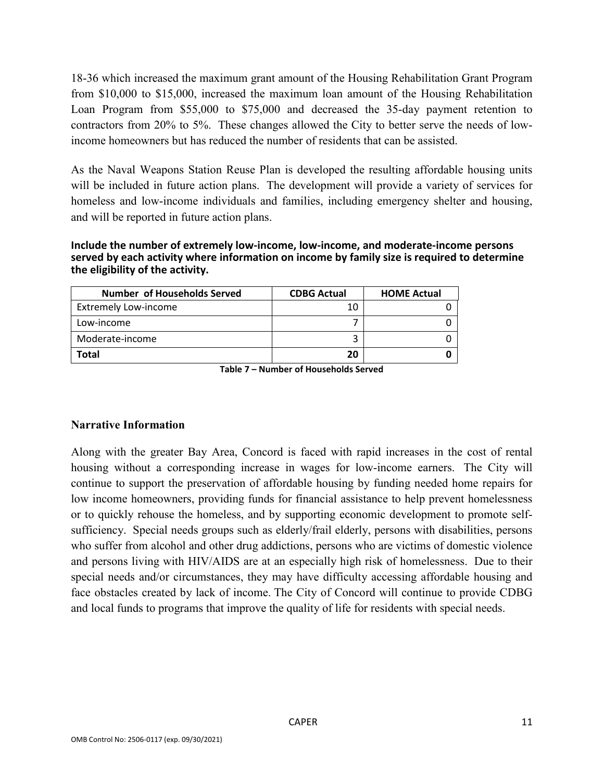18-36 which increased the maximum grant amount of the Housing Rehabilitation Grant Program from \$10,000 to \$15,000, increased the maximum loan amount of the Housing Rehabilitation Loan Program from \$55,000 to \$75,000 and decreased the 35-day payment retention to contractors from 20% to 5%. These changes allowed the City to better serve the needs of lowincome homeowners but has reduced the number of residents that can be assisted.

As the Naval Weapons Station Reuse Plan is developed the resulting affordable housing units will be included in future action plans. The development will provide a variety of services for homeless and low-income individuals and families, including emergency shelter and housing, and will be reported in future action plans.

**Include the number of extremely low-income, low-income, and moderate-income persons served by each activity where information on income by family size is required to determine the eligibility of the activity.**

| <b>Number of Households Served</b> | <b>CDBG Actual</b> | <b>HOME Actual</b> |
|------------------------------------|--------------------|--------------------|
| <b>Extremely Low-income</b>        | 10                 |                    |
| Low-income                         |                    |                    |
| Moderate-income                    |                    |                    |
| Total                              | 20                 |                    |

**Table 7 – Number of Households Served**

#### **Narrative Information**

Along with the greater Bay Area, Concord is faced with rapid increases in the cost of rental housing without a corresponding increase in wages for low-income earners. The City will continue to support the preservation of affordable housing by funding needed home repairs for low income homeowners, providing funds for financial assistance to help prevent homelessness or to quickly rehouse the homeless, and by supporting economic development to promote selfsufficiency. Special needs groups such as elderly/frail elderly, persons with disabilities, persons who suffer from alcohol and other drug addictions, persons who are victims of domestic violence and persons living with HIV/AIDS are at an especially high risk of homelessness. Due to their special needs and/or circumstances, they may have difficulty accessing affordable housing and face obstacles created by lack of income. The City of Concord will continue to provide CDBG and local funds to programs that improve the quality of life for residents with special needs.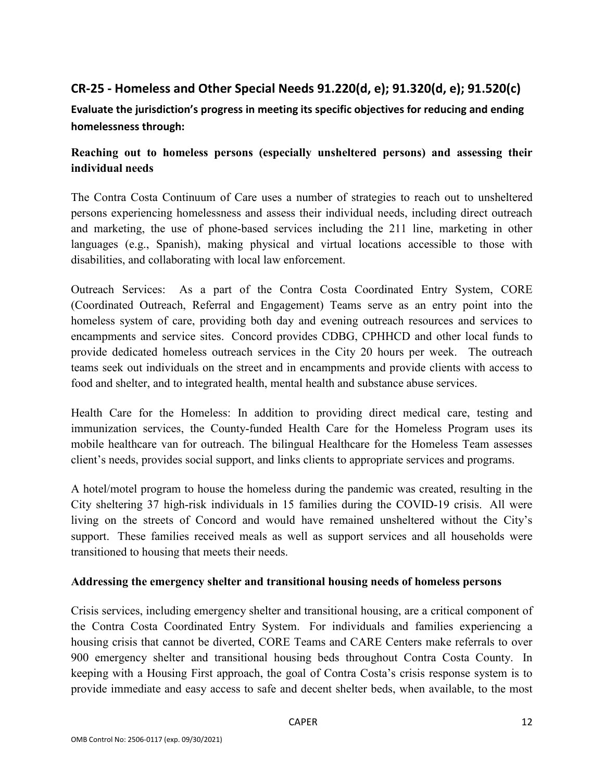# **CR-25 - Homeless and Other Special Needs 91.220(d, e); 91.320(d, e); 91.520(c)**

**Evaluate the jurisdiction's progress in meeting its specific objectives for reducing and ending homelessness through:**

# **Reaching out to homeless persons (especially unsheltered persons) and assessing their individual needs**

The Contra Costa Continuum of Care uses a number of strategies to reach out to unsheltered persons experiencing homelessness and assess their individual needs, including direct outreach and marketing, the use of phone-based services including the 211 line, marketing in other languages (e.g., Spanish), making physical and virtual locations accessible to those with disabilities, and collaborating with local law enforcement.

Outreach Services: As a part of the Contra Costa Coordinated Entry System, CORE (Coordinated Outreach, Referral and Engagement) Teams serve as an entry point into the homeless system of care, providing both day and evening outreach resources and services to encampments and service sites. Concord provides CDBG, CPHHCD and other local funds to provide dedicated homeless outreach services in the City 20 hours per week. The outreach teams seek out individuals on the street and in encampments and provide clients with access to food and shelter, and to integrated health, mental health and substance abuse services.

Health Care for the Homeless: In addition to providing direct medical care, testing and immunization services, the County-funded Health Care for the Homeless Program uses its mobile healthcare van for outreach. The bilingual Healthcare for the Homeless Team assesses client's needs, provides social support, and links clients to appropriate services and programs.

A hotel/motel program to house the homeless during the pandemic was created, resulting in the City sheltering 37 high-risk individuals in 15 families during the COVID-19 crisis. All were living on the streets of Concord and would have remained unsheltered without the City's support. These families received meals as well as support services and all households were transitioned to housing that meets their needs.

### **Addressing the emergency shelter and transitional housing needs of homeless persons**

Crisis services, including emergency shelter and transitional housing, are a critical component of the Contra Costa Coordinated Entry System. For individuals and families experiencing a housing crisis that cannot be diverted, CORE Teams and CARE Centers make referrals to over 900 emergency shelter and transitional housing beds throughout Contra Costa County. In keeping with a Housing First approach, the goal of Contra Costa's crisis response system is to provide immediate and easy access to safe and decent shelter beds, when available, to the most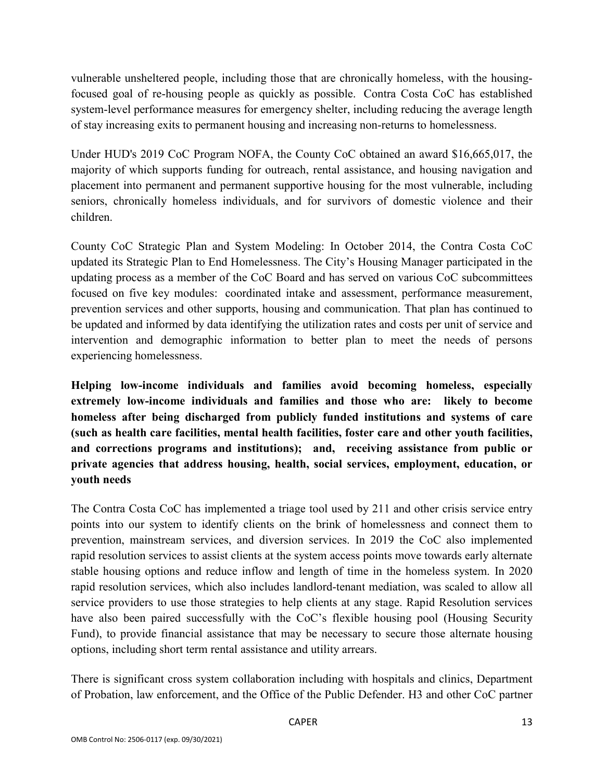vulnerable unsheltered people, including those that are chronically homeless, with the housingfocused goal of re-housing people as quickly as possible. Contra Costa CoC has established system-level performance measures for emergency shelter, including reducing the average length of stay increasing exits to permanent housing and increasing non-returns to homelessness.

Under HUD's 2019 CoC Program NOFA, the County CoC obtained an award \$16,665,017, the majority of which supports funding for outreach, rental assistance, and housing navigation and placement into permanent and permanent supportive housing for the most vulnerable, including seniors, chronically homeless individuals, and for survivors of domestic violence and their children.

County CoC Strategic Plan and System Modeling: In October 2014, the Contra Costa CoC updated its Strategic Plan to End Homelessness. The City's Housing Manager participated in the updating process as a member of the CoC Board and has served on various CoC subcommittees focused on five key modules: coordinated intake and assessment, performance measurement, prevention services and other supports, housing and communication. That plan has continued to be updated and informed by data identifying the utilization rates and costs per unit of service and intervention and demographic information to better plan to meet the needs of persons experiencing homelessness.

**Helping low-income individuals and families avoid becoming homeless, especially extremely low-income individuals and families and those who are: likely to become homeless after being discharged from publicly funded institutions and systems of care (such as health care facilities, mental health facilities, foster care and other youth facilities, and corrections programs and institutions); and, receiving assistance from public or private agencies that address housing, health, social services, employment, education, or youth needs**

The Contra Costa CoC has implemented a triage tool used by 211 and other crisis service entry points into our system to identify clients on the brink of homelessness and connect them to prevention, mainstream services, and diversion services. In 2019 the CoC also implemented rapid resolution services to assist clients at the system access points move towards early alternate stable housing options and reduce inflow and length of time in the homeless system. In 2020 rapid resolution services, which also includes landlord-tenant mediation, was scaled to allow all service providers to use those strategies to help clients at any stage. Rapid Resolution services have also been paired successfully with the CoC's flexible housing pool (Housing Security Fund), to provide financial assistance that may be necessary to secure those alternate housing options, including short term rental assistance and utility arrears.

There is significant cross system collaboration including with hospitals and clinics, Department of Probation, law enforcement, and the Office of the Public Defender. H3 and other CoC partner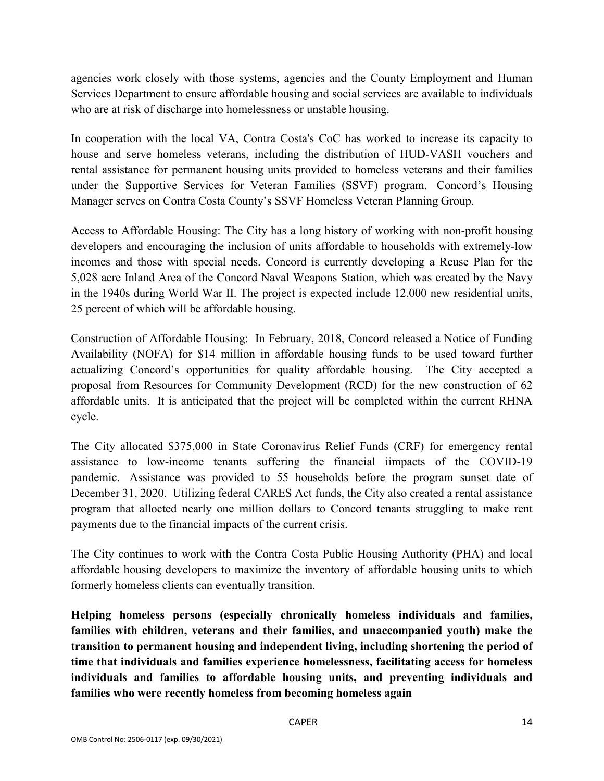agencies work closely with those systems, agencies and the County Employment and Human Services Department to ensure affordable housing and social services are available to individuals who are at risk of discharge into homelessness or unstable housing.

In cooperation with the local VA, Contra Costa's CoC has worked to increase its capacity to house and serve homeless veterans, including the distribution of HUD-VASH vouchers and rental assistance for permanent housing units provided to homeless veterans and their families under the Supportive Services for Veteran Families (SSVF) program. Concord's Housing Manager serves on Contra Costa County's SSVF Homeless Veteran Planning Group.

Access to Affordable Housing: The City has a long history of working with non-profit housing developers and encouraging the inclusion of units affordable to households with extremely-low incomes and those with special needs. Concord is currently developing a Reuse Plan for the 5,028 acre Inland Area of the Concord Naval Weapons Station, which was created by the Navy in the 1940s during World War II. The project is expected include 12,000 new residential units, 25 percent of which will be affordable housing.

Construction of Affordable Housing: In February, 2018, Concord released a Notice of Funding Availability (NOFA) for \$14 million in affordable housing funds to be used toward further actualizing Concord's opportunities for quality affordable housing. The City accepted a proposal from Resources for Community Development (RCD) for the new construction of 62 affordable units. It is anticipated that the project will be completed within the current RHNA cycle.

The City allocated \$375,000 in State Coronavirus Relief Funds (CRF) for emergency rental assistance to low-income tenants suffering the financial iimpacts of the COVID-19 pandemic. Assistance was provided to 55 households before the program sunset date of December 31, 2020. Utilizing federal CARES Act funds, the City also created a rental assistance program that allocted nearly one million dollars to Concord tenants struggling to make rent payments due to the financial impacts of the current crisis.

The City continues to work with the Contra Costa Public Housing Authority (PHA) and local affordable housing developers to maximize the inventory of affordable housing units to which formerly homeless clients can eventually transition.

**Helping homeless persons (especially chronically homeless individuals and families, families with children, veterans and their families, and unaccompanied youth) make the transition to permanent housing and independent living, including shortening the period of time that individuals and families experience homelessness, facilitating access for homeless individuals and families to affordable housing units, and preventing individuals and families who were recently homeless from becoming homeless again**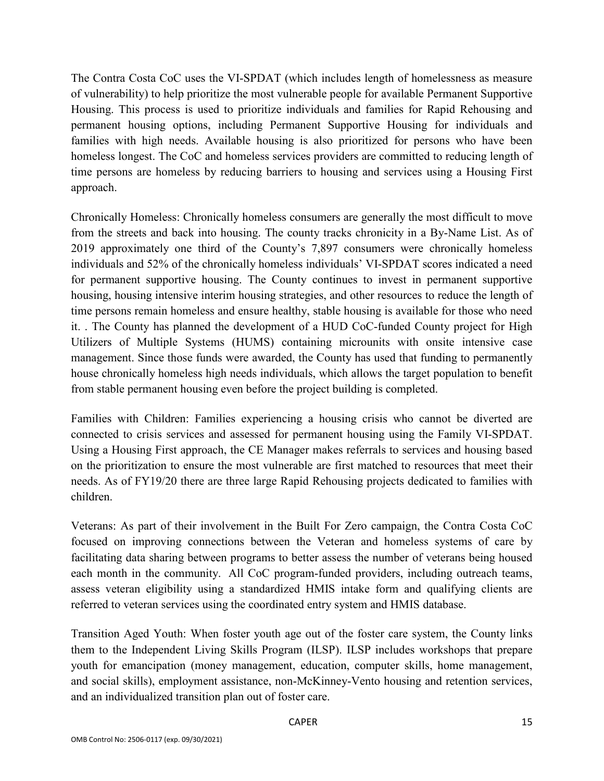The Contra Costa CoC uses the VI-SPDAT (which includes length of homelessness as measure of vulnerability) to help prioritize the most vulnerable people for available Permanent Supportive Housing. This process is used to prioritize individuals and families for Rapid Rehousing and permanent housing options, including Permanent Supportive Housing for individuals and families with high needs. Available housing is also prioritized for persons who have been homeless longest. The CoC and homeless services providers are committed to reducing length of time persons are homeless by reducing barriers to housing and services using a Housing First approach.

Chronically Homeless: Chronically homeless consumers are generally the most difficult to move from the streets and back into housing. The county tracks chronicity in a By-Name List. As of 2019 approximately one third of the County's 7,897 consumers were chronically homeless individuals and 52% of the chronically homeless individuals' VI-SPDAT scores indicated a need for permanent supportive housing. The County continues to invest in permanent supportive housing, housing intensive interim housing strategies, and other resources to reduce the length of time persons remain homeless and ensure healthy, stable housing is available for those who need it. . The County has planned the development of a HUD CoC-funded County project for High Utilizers of Multiple Systems (HUMS) containing microunits with onsite intensive case management. Since those funds were awarded, the County has used that funding to permanently house chronically homeless high needs individuals, which allows the target population to benefit from stable permanent housing even before the project building is completed.

Families with Children: Families experiencing a housing crisis who cannot be diverted are connected to crisis services and assessed for permanent housing using the Family VI-SPDAT. Using a Housing First approach, the CE Manager makes referrals to services and housing based on the prioritization to ensure the most vulnerable are first matched to resources that meet their needs. As of FY19/20 there are three large Rapid Rehousing projects dedicated to families with children.

Veterans: As part of their involvement in the Built For Zero campaign, the Contra Costa CoC focused on improving connections between the Veteran and homeless systems of care by facilitating data sharing between programs to better assess the number of veterans being housed each month in the community. All CoC program-funded providers, including outreach teams, assess veteran eligibility using a standardized HMIS intake form and qualifying clients are referred to veteran services using the coordinated entry system and HMIS database.

Transition Aged Youth: When foster youth age out of the foster care system, the County links them to the Independent Living Skills Program (ILSP). ILSP includes workshops that prepare youth for emancipation (money management, education, computer skills, home management, and social skills), employment assistance, non-McKinney-Vento housing and retention services, and an individualized transition plan out of foster care.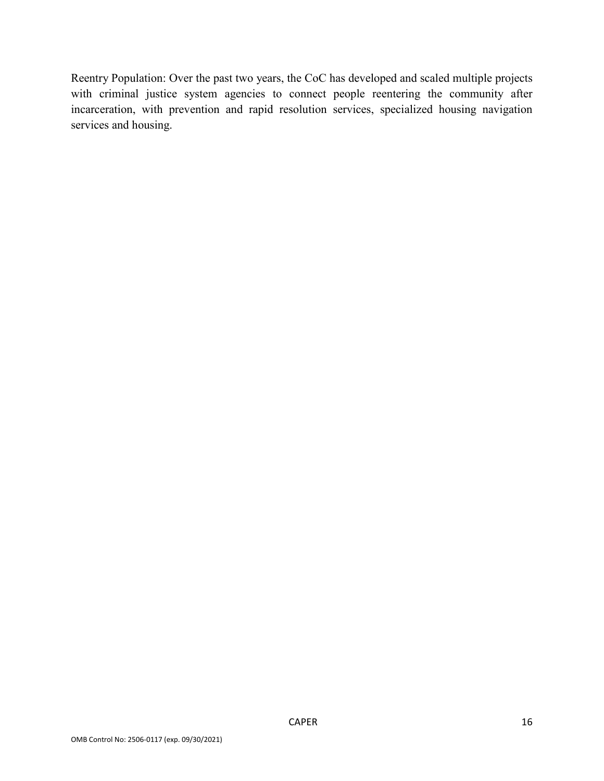Reentry Population: Over the past two years, the CoC has developed and scaled multiple projects with criminal justice system agencies to connect people reentering the community after incarceration, with prevention and rapid resolution services, specialized housing navigation services and housing.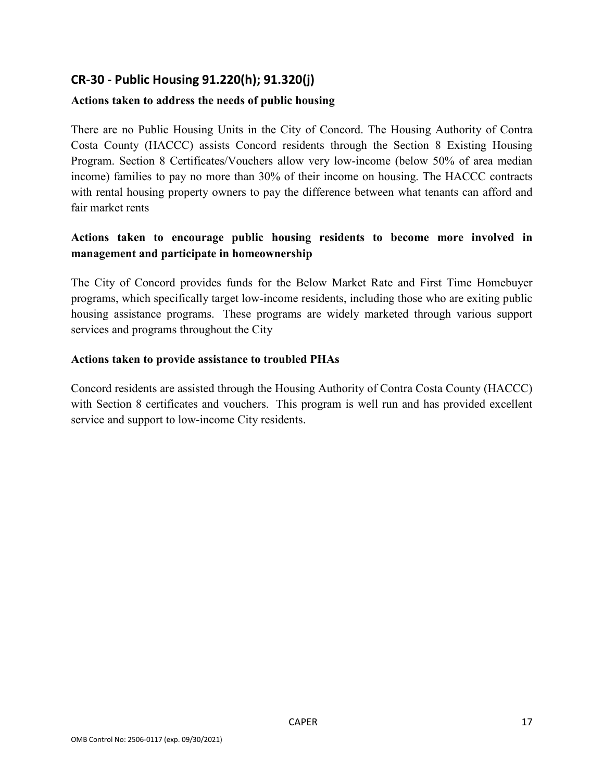# **CR-30 - Public Housing 91.220(h); 91.320(j)**

### **Actions taken to address the needs of public housing**

There are no Public Housing Units in the City of Concord. The Housing Authority of Contra Costa County (HACCC) assists Concord residents through the Section 8 Existing Housing Program. Section 8 Certificates/Vouchers allow very low-income (below 50% of area median income) families to pay no more than 30% of their income on housing. The HACCC contracts with rental housing property owners to pay the difference between what tenants can afford and fair market rents

## **Actions taken to encourage public housing residents to become more involved in management and participate in homeownership**

The City of Concord provides funds for the Below Market Rate and First Time Homebuyer programs, which specifically target low-income residents, including those who are exiting public housing assistance programs. These programs are widely marketed through various support services and programs throughout the City

#### **Actions taken to provide assistance to troubled PHAs**

Concord residents are assisted through the Housing Authority of Contra Costa County (HACCC) with Section 8 certificates and vouchers. This program is well run and has provided excellent service and support to low-income City residents.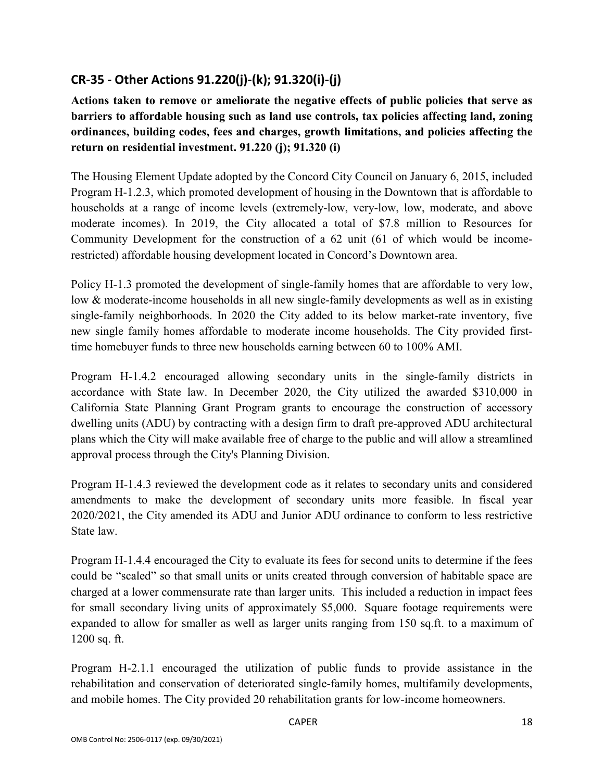# **CR-35 - Other Actions 91.220(j)-(k); 91.320(i)-(j)**

**Actions taken to remove or ameliorate the negative effects of public policies that serve as barriers to affordable housing such as land use controls, tax policies affecting land, zoning ordinances, building codes, fees and charges, growth limitations, and policies affecting the return on residential investment. 91.220 (j); 91.320 (i)**

The Housing Element Update adopted by the Concord City Council on January 6, 2015, included Program H-1.2.3, which promoted development of housing in the Downtown that is affordable to households at a range of income levels (extremely-low, very-low, low, moderate, and above moderate incomes). In 2019, the City allocated a total of \$7.8 million to Resources for Community Development for the construction of a 62 unit (61 of which would be incomerestricted) affordable housing development located in Concord's Downtown area.

Policy H-1.3 promoted the development of single-family homes that are affordable to very low, low & moderate-income households in all new single-family developments as well as in existing single-family neighborhoods. In 2020 the City added to its below market-rate inventory, five new single family homes affordable to moderate income households. The City provided firsttime homebuyer funds to three new households earning between 60 to 100% AMI.

Program H-1.4.2 encouraged allowing secondary units in the single-family districts in accordance with State law. In December 2020, the City utilized the awarded \$310,000 in California State Planning Grant Program grants to encourage the construction of accessory dwelling units (ADU) by contracting with a design firm to draft pre-approved ADU architectural plans which the City will make available free of charge to the public and will allow a streamlined approval process through the City's Planning Division.

Program H-1.4.3 reviewed the development code as it relates to secondary units and considered amendments to make the development of secondary units more feasible. In fiscal year 2020/2021, the City amended its ADU and Junior ADU ordinance to conform to less restrictive State law.

Program H-1.4.4 encouraged the City to evaluate its fees for second units to determine if the fees could be "scaled" so that small units or units created through conversion of habitable space are charged at a lower commensurate rate than larger units. This included a reduction in impact fees for small secondary living units of approximately \$5,000. Square footage requirements were expanded to allow for smaller as well as larger units ranging from 150 sq.ft. to a maximum of 1200 sq. ft.

Program H-2.1.1 encouraged the utilization of public funds to provide assistance in the rehabilitation and conservation of deteriorated single-family homes, multifamily developments, and mobile homes. The City provided 20 rehabilitation grants for low-income homeowners.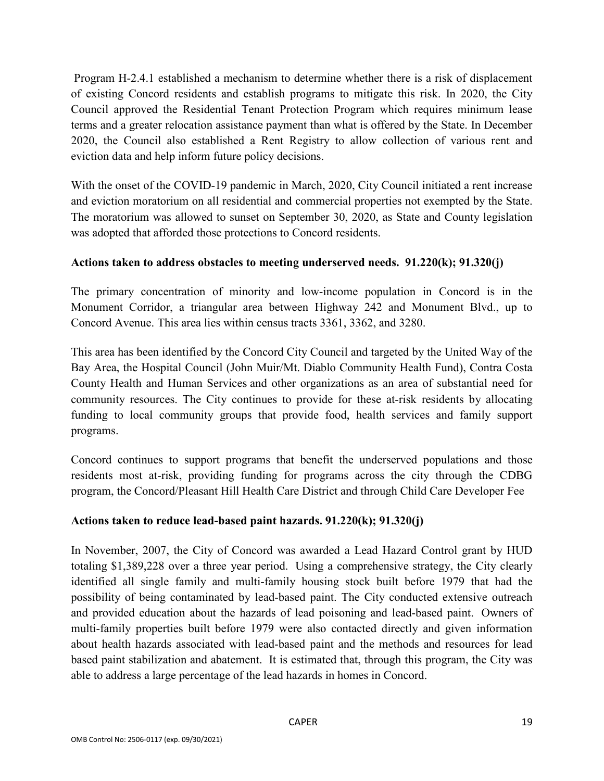Program H-2.4.1 established a mechanism to determine whether there is a risk of displacement of existing Concord residents and establish programs to mitigate this risk. In 2020, the City Council approved the Residential Tenant Protection Program which requires minimum lease terms and a greater relocation assistance payment than what is offered by the State. In December 2020, the Council also established a Rent Registry to allow collection of various rent and eviction data and help inform future policy decisions.

With the onset of the COVID-19 pandemic in March, 2020, City Council initiated a rent increase and eviction moratorium on all residential and commercial properties not exempted by the State. The moratorium was allowed to sunset on September 30, 2020, as State and County legislation was adopted that afforded those protections to Concord residents.

### **Actions taken to address obstacles to meeting underserved needs. 91.220(k); 91.320(j)**

The primary concentration of minority and low-income population in Concord is in the Monument Corridor, a triangular area between Highway 242 and Monument Blvd., up to Concord Avenue. This area lies within census tracts 3361, 3362, and 3280.

This area has been identified by the Concord City Council and targeted by the United Way of the Bay Area, the Hospital Council (John Muir/Mt. Diablo Community Health Fund), Contra Costa County Health and Human Services and other organizations as an area of substantial need for community resources. The City continues to provide for these at-risk residents by allocating funding to local community groups that provide food, health services and family support programs.

Concord continues to support programs that benefit the underserved populations and those residents most at-risk, providing funding for programs across the city through the CDBG program, the Concord/Pleasant Hill Health Care District and through Child Care Developer Fee

### **Actions taken to reduce lead-based paint hazards. 91.220(k); 91.320(j)**

In November, 2007, the City of Concord was awarded a Lead Hazard Control grant by HUD totaling \$1,389,228 over a three year period. Using a comprehensive strategy, the City clearly identified all single family and multi-family housing stock built before 1979 that had the possibility of being contaminated by lead-based paint. The City conducted extensive outreach and provided education about the hazards of lead poisoning and lead-based paint. Owners of multi-family properties built before 1979 were also contacted directly and given information about health hazards associated with lead-based paint and the methods and resources for lead based paint stabilization and abatement. It is estimated that, through this program, the City was able to address a large percentage of the lead hazards in homes in Concord.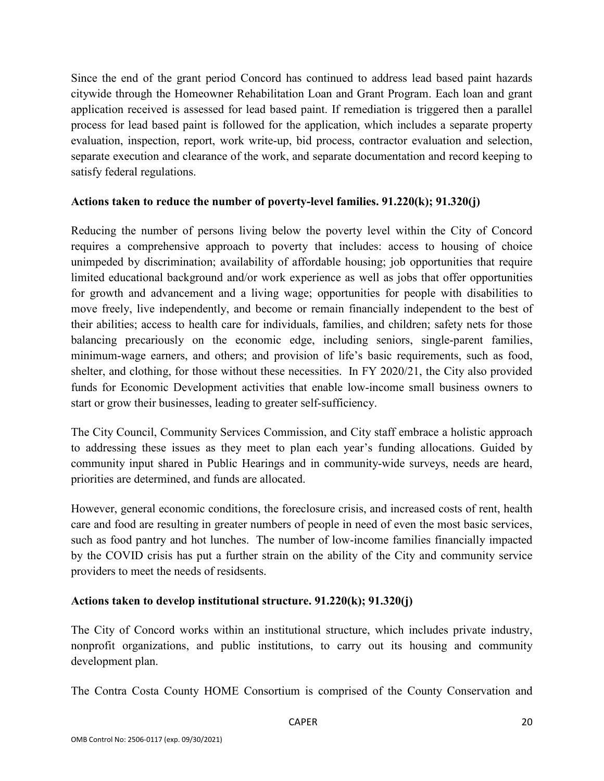Since the end of the grant period Concord has continued to address lead based paint hazards citywide through the Homeowner Rehabilitation Loan and Grant Program. Each loan and grant application received is assessed for lead based paint. If remediation is triggered then a parallel process for lead based paint is followed for the application, which includes a separate property evaluation, inspection, report, work write-up, bid process, contractor evaluation and selection, separate execution and clearance of the work, and separate documentation and record keeping to satisfy federal regulations.

#### **Actions taken to reduce the number of poverty-level families. 91.220(k); 91.320(j)**

Reducing the number of persons living below the poverty level within the City of Concord requires a comprehensive approach to poverty that includes: access to housing of choice unimpeded by discrimination; availability of affordable housing; job opportunities that require limited educational background and/or work experience as well as jobs that offer opportunities for growth and advancement and a living wage; opportunities for people with disabilities to move freely, live independently, and become or remain financially independent to the best of their abilities; access to health care for individuals, families, and children; safety nets for those balancing precariously on the economic edge, including seniors, single-parent families, minimum-wage earners, and others; and provision of life's basic requirements, such as food, shelter, and clothing, for those without these necessities. In FY 2020/21, the City also provided funds for Economic Development activities that enable low-income small business owners to start or grow their businesses, leading to greater self-sufficiency.

The City Council, Community Services Commission, and City staff embrace a holistic approach to addressing these issues as they meet to plan each year's funding allocations. Guided by community input shared in Public Hearings and in community-wide surveys, needs are heard, priorities are determined, and funds are allocated.

However, general economic conditions, the foreclosure crisis, and increased costs of rent, health care and food are resulting in greater numbers of people in need of even the most basic services, such as food pantry and hot lunches. The number of low-income families financially impacted by the COVID crisis has put a further strain on the ability of the City and community service providers to meet the needs of residsents.

### **Actions taken to develop institutional structure. 91.220(k); 91.320(j)**

The City of Concord works within an institutional structure, which includes private industry, nonprofit organizations, and public institutions, to carry out its housing and community development plan.

The Contra Costa County HOME Consortium is comprised of the County Conservation and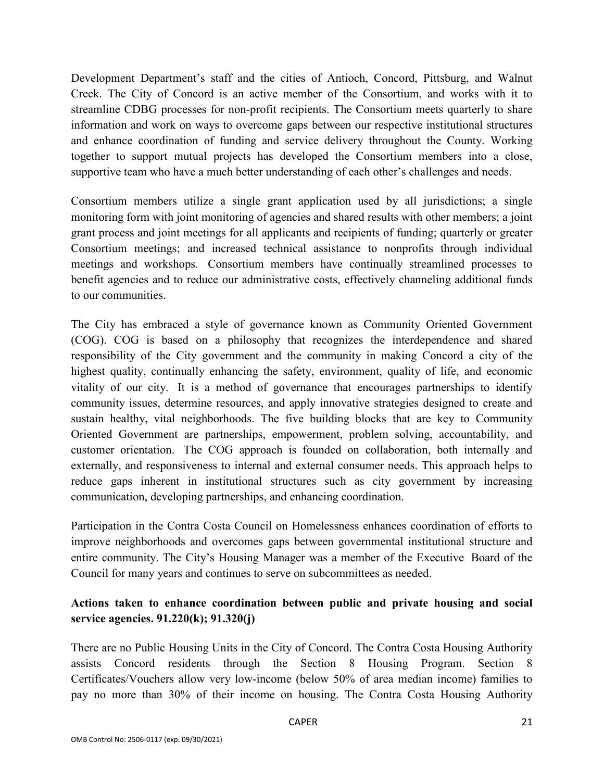Development Department's staff and the cities of Antioch, Concord, Pittsburg, and Walnut Creek. The City of Concord is an active member of the Consortium, and works with it to streamline CDBG processes for non-profit recipients. The Consortium meets quarterly to share information and work on ways to overcome gaps between our respective institutional structures and enhance coordination of funding and service delivery throughout the County. Working together to support mutual projects has developed the Consortium members into a close, supportive team who have a much better understanding of each other's challenges and needs.

Consortium members utilize a single grant application used by all jurisdictions; a single monitoring form with joint monitoring of agencies and shared results with other members; a joint grant process and joint meetings for all applicants and recipients of funding; quarterly or greater Consortium meetings; and increased technical assistance to nonprofits through individual meetings and workshops. Consortium members have continually streamlined processes to benefit agencies and to reduce our administrative costs, effectively channeling additional funds to our communities.

The City has embraced a style of governance known as Community Oriented Government (COG). COG is based on a philosophy that recognizes the interdependence and shared responsibility of the City government and the community in making Concord a city of the highest quality, continually enhancing the safety, environment, quality of life, and economic vitality of our city. It is a method of governance that encourages partnerships to identify community issues, determine resources, and apply innovative strategies designed to create and sustain healthy, vital neighborhoods. The five building blocks that are key to Community Oriented Government are partnerships, empowerment, problem solving, accountability, and customer orientation. The COG approach is founded on collaboration, both internally and externally, and responsiveness to internal and external consumer needs. This approach helps to reduce gaps inherent in institutional structures such as city government by increasing communication, developing partnerships, and enhancing coordination.

Participation in the Contra Costa Council on Homelessness enhances coordination of efforts to improve neighborhoods and overcomes gaps between governmental institutional structure and entire community. The City's Housing Manager was a member of the Executive Board of the Council for many years and continues to serve on subcommittees as needed.

# **Actions taken to enhance coordination between public and private housing and social service agencies. 91.220(k); 91.320(j)**

There are no Public Housing Units in the City of Concord. The Contra Costa Housing Authority assists Concord residents through the Section 8 Housing Program. Section 8 Certificates/Vouchers allow very low-income (below 50% of area median income) families to pay no more than 30% of their income on housing. The Contra Costa Housing Authority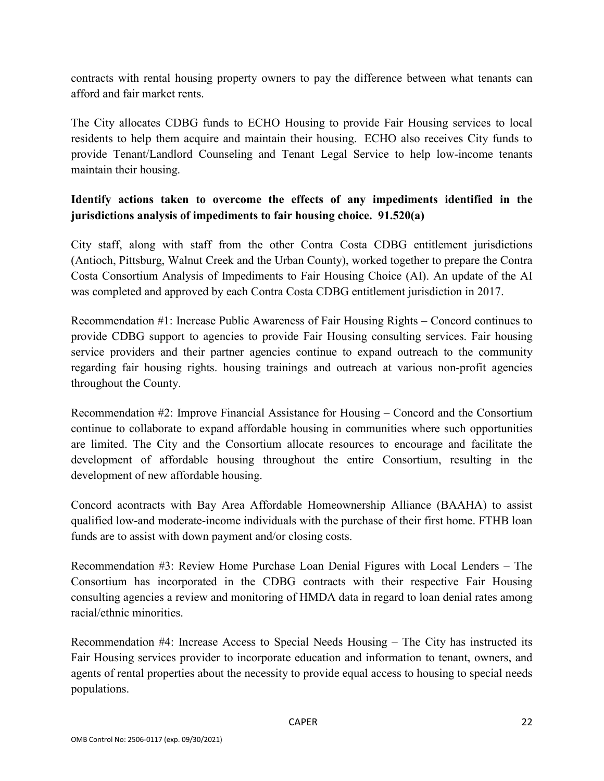contracts with rental housing property owners to pay the difference between what tenants can afford and fair market rents.

The City allocates CDBG funds to ECHO Housing to provide Fair Housing services to local residents to help them acquire and maintain their housing. ECHO also receives City funds to provide Tenant/Landlord Counseling and Tenant Legal Service to help low-income tenants maintain their housing.

## **Identify actions taken to overcome the effects of any impediments identified in the jurisdictions analysis of impediments to fair housing choice. 91.520(a)**

City staff, along with staff from the other Contra Costa CDBG entitlement jurisdictions (Antioch, Pittsburg, Walnut Creek and the Urban County), worked together to prepare the Contra Costa Consortium Analysis of Impediments to Fair Housing Choice (AI). An update of the AI was completed and approved by each Contra Costa CDBG entitlement jurisdiction in 2017.

Recommendation #1: Increase Public Awareness of Fair Housing Rights – Concord continues to provide CDBG support to agencies to provide Fair Housing consulting services. Fair housing service providers and their partner agencies continue to expand outreach to the community regarding fair housing rights. housing trainings and outreach at various non-profit agencies throughout the County.

Recommendation #2: Improve Financial Assistance for Housing – Concord and the Consortium continue to collaborate to expand affordable housing in communities where such opportunities are limited. The City and the Consortium allocate resources to encourage and facilitate the development of affordable housing throughout the entire Consortium, resulting in the development of new affordable housing.

Concord acontracts with Bay Area Affordable Homeownership Alliance (BAAHA) to assist qualified low-and moderate-income individuals with the purchase of their first home. FTHB loan funds are to assist with down payment and/or closing costs.

Recommendation #3: Review Home Purchase Loan Denial Figures with Local Lenders – The Consortium has incorporated in the CDBG contracts with their respective Fair Housing consulting agencies a review and monitoring of HMDA data in regard to loan denial rates among racial/ethnic minorities.

Recommendation #4: Increase Access to Special Needs Housing – The City has instructed its Fair Housing services provider to incorporate education and information to tenant, owners, and agents of rental properties about the necessity to provide equal access to housing to special needs populations.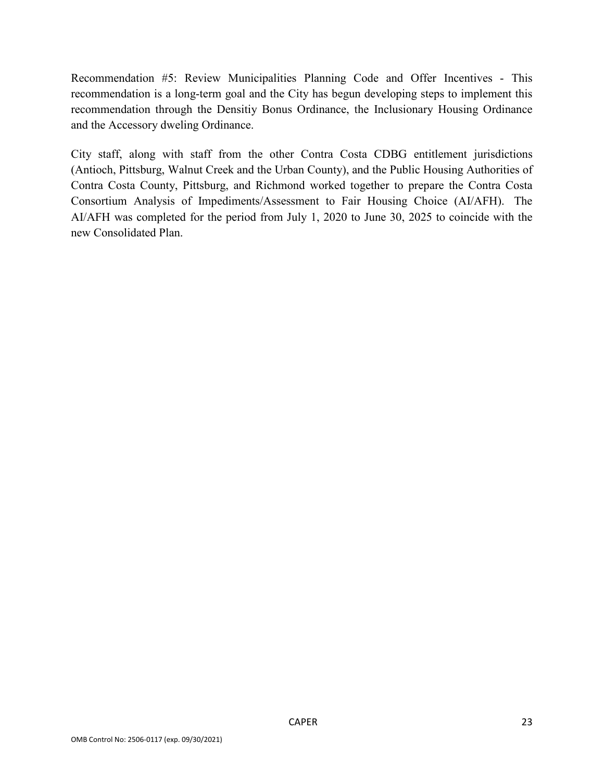Recommendation #5: Review Municipalities Planning Code and Offer Incentives - This recommendation is a long-term goal and the City has begun developing steps to implement this recommendation through the Densitiy Bonus Ordinance, the Inclusionary Housing Ordinance and the Accessory dweling Ordinance.

City staff, along with staff from the other Contra Costa CDBG entitlement jurisdictions (Antioch, Pittsburg, Walnut Creek and the Urban County), and the Public Housing Authorities of Contra Costa County, Pittsburg, and Richmond worked together to prepare the Contra Costa Consortium Analysis of Impediments/Assessment to Fair Housing Choice (AI/AFH). The AI/AFH was completed for the period from July 1, 2020 to June 30, 2025 to coincide with the new Consolidated Plan.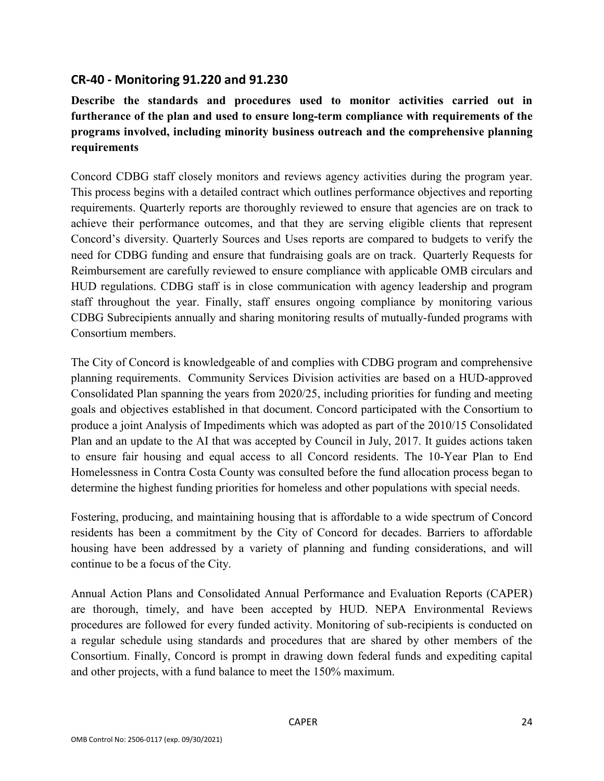## **CR-40 - Monitoring 91.220 and 91.230**

**Describe the standards and procedures used to monitor activities carried out in furtherance of the plan and used to ensure long-term compliance with requirements of the programs involved, including minority business outreach and the comprehensive planning requirements**

Concord CDBG staff closely monitors and reviews agency activities during the program year. This process begins with a detailed contract which outlines performance objectives and reporting requirements. Quarterly reports are thoroughly reviewed to ensure that agencies are on track to achieve their performance outcomes, and that they are serving eligible clients that represent Concord's diversity. Quarterly Sources and Uses reports are compared to budgets to verify the need for CDBG funding and ensure that fundraising goals are on track. Quarterly Requests for Reimbursement are carefully reviewed to ensure compliance with applicable OMB circulars and HUD regulations. CDBG staff is in close communication with agency leadership and program staff throughout the year. Finally, staff ensures ongoing compliance by monitoring various CDBG Subrecipients annually and sharing monitoring results of mutually-funded programs with Consortium members.

The City of Concord is knowledgeable of and complies with CDBG program and comprehensive planning requirements. Community Services Division activities are based on a HUD-approved Consolidated Plan spanning the years from 2020/25, including priorities for funding and meeting goals and objectives established in that document. Concord participated with the Consortium to produce a joint Analysis of Impediments which was adopted as part of the 2010/15 Consolidated Plan and an update to the AI that was accepted by Council in July, 2017. It guides actions taken to ensure fair housing and equal access to all Concord residents. The 10-Year Plan to End Homelessness in Contra Costa County was consulted before the fund allocation process began to determine the highest funding priorities for homeless and other populations with special needs.

Fostering, producing, and maintaining housing that is affordable to a wide spectrum of Concord residents has been a commitment by the City of Concord for decades. Barriers to affordable housing have been addressed by a variety of planning and funding considerations, and will continue to be a focus of the City.

Annual Action Plans and Consolidated Annual Performance and Evaluation Reports (CAPER) are thorough, timely, and have been accepted by HUD. NEPA Environmental Reviews procedures are followed for every funded activity. Monitoring of sub-recipients is conducted on a regular schedule using standards and procedures that are shared by other members of the Consortium. Finally, Concord is prompt in drawing down federal funds and expediting capital and other projects, with a fund balance to meet the 150% maximum.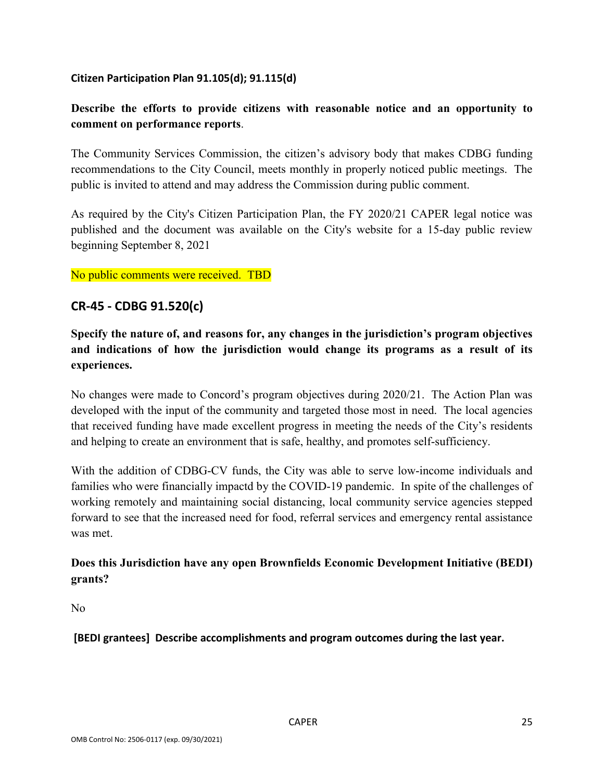#### **Citizen Participation Plan 91.105(d); 91.115(d)**

## **Describe the efforts to provide citizens with reasonable notice and an opportunity to comment on performance reports**.

The Community Services Commission, the citizen's advisory body that makes CDBG funding recommendations to the City Council, meets monthly in properly noticed public meetings. The public is invited to attend and may address the Commission during public comment.

As required by the City's Citizen Participation Plan, the FY 2020/21 CAPER legal notice was published and the document was available on the City's website for a 15-day public review beginning September 8, 2021

No public comments were received. TBD

## **CR-45 - CDBG 91.520(c)**

**Specify the nature of, and reasons for, any changes in the jurisdiction's program objectives and indications of how the jurisdiction would change its programs as a result of its experiences.**

No changes were made to Concord's program objectives during 2020/21. The Action Plan was developed with the input of the community and targeted those most in need. The local agencies that received funding have made excellent progress in meeting the needs of the City's residents and helping to create an environment that is safe, healthy, and promotes self-sufficiency.

With the addition of CDBG-CV funds, the City was able to serve low-income individuals and families who were financially impactd by the COVID-19 pandemic. In spite of the challenges of working remotely and maintaining social distancing, local community service agencies stepped forward to see that the increased need for food, referral services and emergency rental assistance was met.

## **Does this Jurisdiction have any open Brownfields Economic Development Initiative (BEDI) grants?**

No

**[BEDI grantees] Describe accomplishments and program outcomes during the last year.**